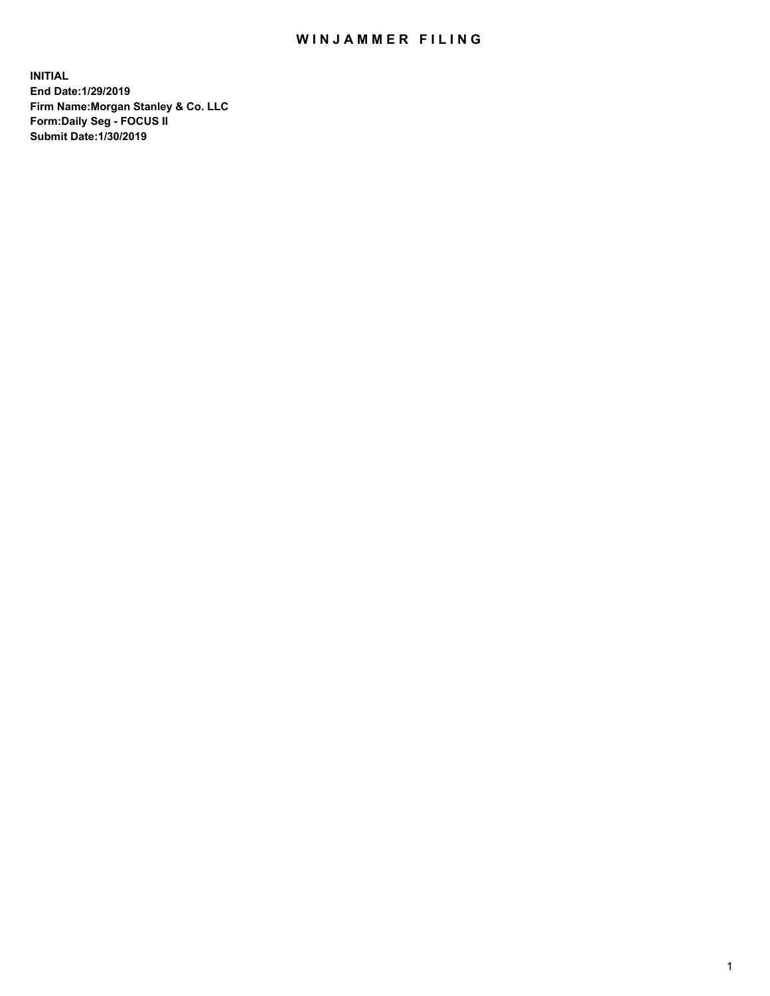## WIN JAMMER FILING

**INITIAL End Date:1/29/2019 Firm Name:Morgan Stanley & Co. LLC Form:Daily Seg - FOCUS II Submit Date:1/30/2019**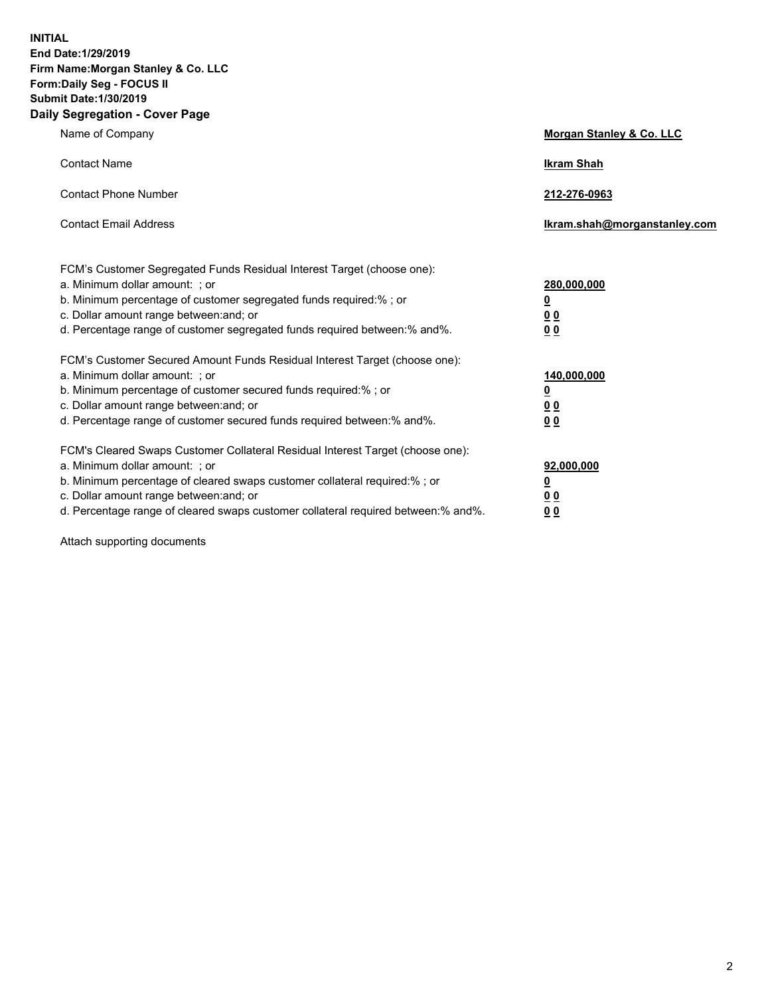**INITIAL End Date:1/29/2019 Firm Name:Morgan Stanley & Co. LLC Form:Daily Seg - FOCUS II Submit Date:1/30/2019 Daily Segregation - Cover Page**

| Name of Company                                                                                                                                                                                                                                                                                                                | Morgan Stanley & Co. LLC                                    |
|--------------------------------------------------------------------------------------------------------------------------------------------------------------------------------------------------------------------------------------------------------------------------------------------------------------------------------|-------------------------------------------------------------|
| <b>Contact Name</b>                                                                                                                                                                                                                                                                                                            | <b>Ikram Shah</b>                                           |
| <b>Contact Phone Number</b>                                                                                                                                                                                                                                                                                                    | 212-276-0963                                                |
| <b>Contact Email Address</b>                                                                                                                                                                                                                                                                                                   | Ikram.shah@morganstanley.com                                |
| FCM's Customer Segregated Funds Residual Interest Target (choose one):<br>a. Minimum dollar amount: ; or<br>b. Minimum percentage of customer segregated funds required:%; or<br>c. Dollar amount range between: and; or<br>d. Percentage range of customer segregated funds required between: % and %.                        | 280,000,000<br><u>0</u><br>0 <sub>0</sub><br>0 <sub>0</sub> |
| FCM's Customer Secured Amount Funds Residual Interest Target (choose one):<br>a. Minimum dollar amount: : or<br>b. Minimum percentage of customer secured funds required:%; or<br>c. Dollar amount range between: and; or<br>d. Percentage range of customer secured funds required between:% and%.                            | 140,000,000<br><u>0</u><br><u>00</u><br>00                  |
| FCM's Cleared Swaps Customer Collateral Residual Interest Target (choose one):<br>a. Minimum dollar amount: ; or<br>b. Minimum percentage of cleared swaps customer collateral required:% ; or<br>c. Dollar amount range between: and; or<br>d. Percentage range of cleared swaps customer collateral required between:% and%. | 92,000,000<br><u>0</u><br><u>00</u><br>0 <sub>0</sub>       |

Attach supporting documents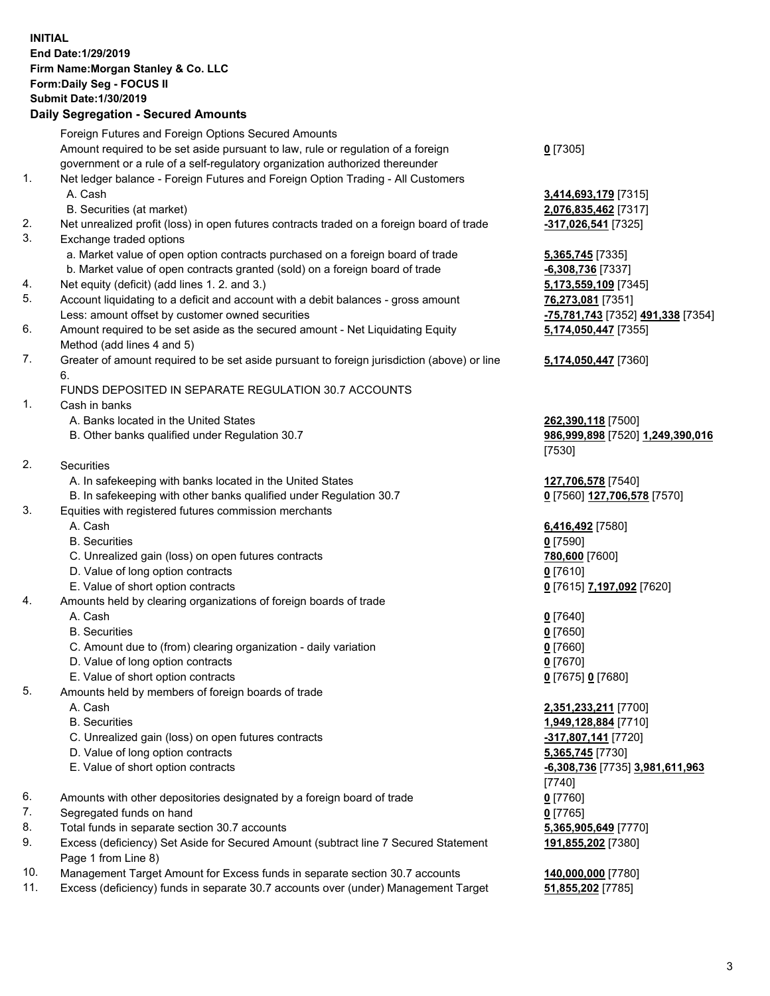## **INITIAL End Date:1/29/2019 Firm Name:Morgan Stanley & Co. LLC Form:Daily Seg - FOCUS II Submit Date:1/30/2019**

## **Daily Segregation - Secured Amounts**

Foreign Futures and Foreign Options Secured Amounts Amount required to be set aside pursuant to law, rule or regulation of a foreign government or a rule of a self-regulatory organization authorized thereunder 1. Net ledger balance - Foreign Futures and Foreign Option Trading - All Customers A. Cash **3,414,693,179** [7315] B. Securities (at market) **2,076,835,462** [7317] 2. Net unrealized profit (loss) in open futures contracts traded on a foreign board of trade **-317,026,541** [7325] 3. Exchange traded options a. Market value of open option contracts purchased on a foreign board of trade **5,365,745** [7335] b. Market value of open contracts granted (sold) on a foreign board of trade **-6,308,736** [7337] 4. Net equity (deficit) (add lines 1. 2. and 3.) **5,173,559,109** [7345] 5. Account liquidating to a deficit and account with a debit balances - gross amount **76,273,081** [7351] Less: amount offset by customer owned securities **-75,781,743** [7352] **491,338** [7354] 6. Amount required to be set aside as the secured amount - Net Liquidating Equity Method (add lines 4 and 5) 7. Greater of amount required to be set aside pursuant to foreign jurisdiction (above) or line 6. FUNDS DEPOSITED IN SEPARATE REGULATION 30.7 ACCOUNTS 1. Cash in banks A. Banks located in the United States **262,390,118** [7500] B. Other banks qualified under Regulation 30.7 **986,999,898** [7520] **1,249,390,016** 2. Securities A. In safekeeping with banks located in the United States **127,706,578** [7540] B. In safekeeping with other banks qualified under Regulation 30.7 **0** [7560] **127,706,578** [7570] 3. Equities with registered futures commission merchants A. Cash **6,416,492** [7580] B. Securities **0** [7590] C. Unrealized gain (loss) on open futures contracts **780,600** [7600] D. Value of long option contracts **0** [7610] E. Value of short option contracts **0** [7615] **7,197,092** [7620] 4. Amounts held by clearing organizations of foreign boards of trade A. Cash **0** [7640] B. Securities **0** [7650] C. Amount due to (from) clearing organization - daily variation **0** [7660] D. Value of long option contracts **0** [7670] E. Value of short option contracts **0** [7675] **0** [7680] 5. Amounts held by members of foreign boards of trade A. Cash **2,351,233,211** [7700] B. Securities **1,949,128,884** [7710] C. Unrealized gain (loss) on open futures contracts **-317,807,141** [7720] D. Value of long option contracts **5,365,745** [7730] E. Value of short option contracts **-6,308,736** [7735] **3,981,611,963** 6. Amounts with other depositories designated by a foreign board of trade **0** [7760] 7. Segregated funds on hand **0** [7765] 8. Total funds in separate section 30.7 accounts **5,365,905,649** [7770] 9. Excess (deficiency) Set Aside for Secured Amount (subtract line 7 Secured Statement Page 1 from Line 8)

- 10. Management Target Amount for Excess funds in separate section 30.7 accounts **140,000,000** [7780]
- 11. Excess (deficiency) funds in separate 30.7 accounts over (under) Management Target **51,855,202** [7785]

**0** [7305]

**5,174,050,447** [7355]

## **5,174,050,447** [7360]

[7530]

[7740] **191,855,202** [7380]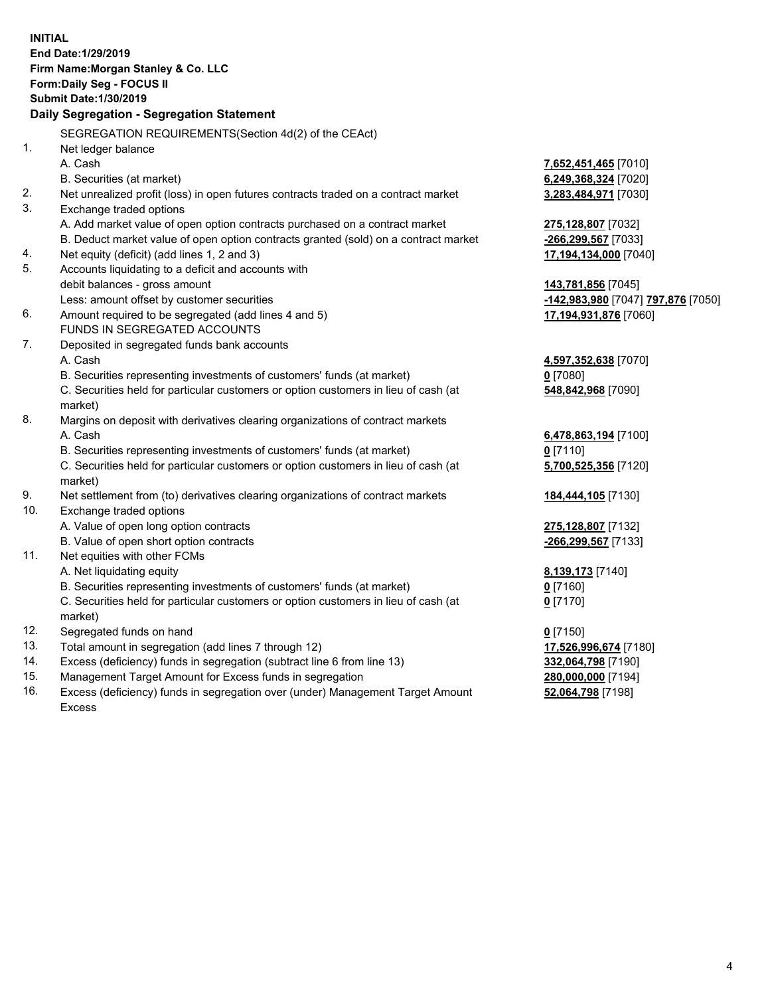**INITIAL End Date:1/29/2019 Firm Name:Morgan Stanley & Co. LLC Form:Daily Seg - FOCUS II Submit Date:1/30/2019 Daily Segregation - Segregation Statement** SEGREGATION REQUIREMENTS(Section 4d(2) of the CEAct) 1. Net ledger balance A. Cash **7,652,451,465** [7010] B. Securities (at market) **6,249,368,324** [7020] 2. Net unrealized profit (loss) in open futures contracts traded on a contract market **3,283,484,971** [7030] 3. Exchange traded options A. Add market value of open option contracts purchased on a contract market **275,128,807** [7032] B. Deduct market value of open option contracts granted (sold) on a contract market **-266,299,567** [7033] 4. Net equity (deficit) (add lines 1, 2 and 3) **17,194,134,000** [7040] 5. Accounts liquidating to a deficit and accounts with debit balances - gross amount **143,781,856** [7045] Less: amount offset by customer securities **-142,983,980** [7047] **797,876** [7050] 6. Amount required to be segregated (add lines 4 and 5) **17,194,931,876** [7060] FUNDS IN SEGREGATED ACCOUNTS 7. Deposited in segregated funds bank accounts A. Cash **4,597,352,638** [7070] B. Securities representing investments of customers' funds (at market) **0** [7080] C. Securities held for particular customers or option customers in lieu of cash (at market) **548,842,968** [7090] 8. Margins on deposit with derivatives clearing organizations of contract markets A. Cash **6,478,863,194** [7100] B. Securities representing investments of customers' funds (at market) **0** [7110] C. Securities held for particular customers or option customers in lieu of cash (at market) **5,700,525,356** [7120] 9. Net settlement from (to) derivatives clearing organizations of contract markets **184,444,105** [7130] 10. Exchange traded options A. Value of open long option contracts **275,128,807** [7132] B. Value of open short option contracts **-266,299,567** [7133] 11. Net equities with other FCMs A. Net liquidating equity **8,139,173** [7140] B. Securities representing investments of customers' funds (at market) **0** [7160] C. Securities held for particular customers or option customers in lieu of cash (at market) **0** [7170] 12. Segregated funds on hand **0** [7150] 13. Total amount in segregation (add lines 7 through 12) **17,526,996,674** [7180] 14. Excess (deficiency) funds in segregation (subtract line 6 from line 13) **332,064,798** [7190] 15. Management Target Amount for Excess funds in segregation **280,000,000** [7194]

16. Excess (deficiency) funds in segregation over (under) Management Target Amount Excess

**52,064,798** [7198]